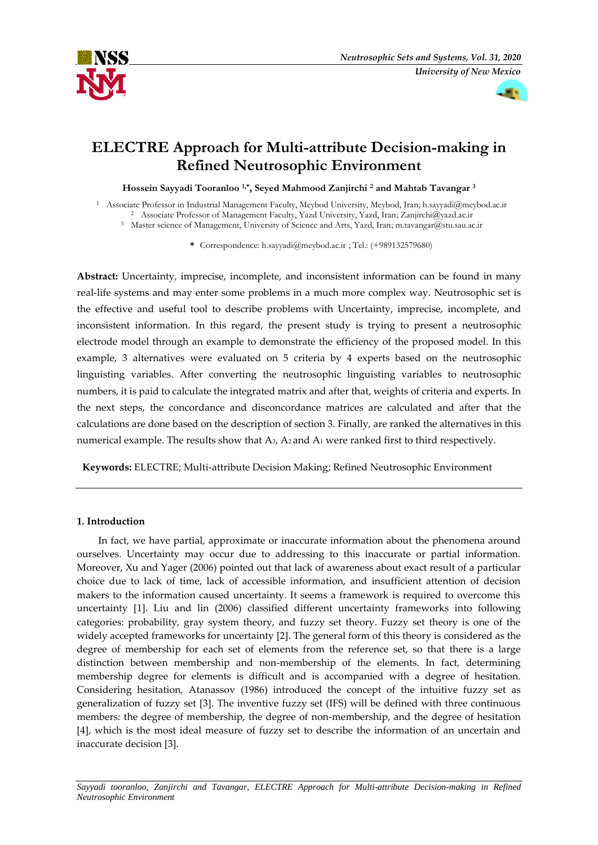



# **ELECTRE Approach for Multi-attribute Decision-making in Refined Neutrosophic Environment**

**Hossein Sayyadi Tooranloo 1,\*, Seyed Mahmood Zanjirchi 2 and Mahtab Tavangar 3**

1 Associate Professor in Industrial Management Faculty, Meybod University, Meybod, Iran; h.sayyadi@meybod.ac.ir 2 Associate Professor of Management Faculty, Yazd University, Yazd, Iran[; Zanjirchi@yazd.ac.ir](mailto:e-mail@e-mail.com)

3 Master science of Management, University of Science and Arts, Yazd, Iran; m.tavangar@stu.sau.ac.ir

**\*** Correspondence: h.sayyadi@meybod.ac.ir ; Tel.: (+989132579680)

**Abstract:** Uncertainty, imprecise, incomplete, and inconsistent information can be found in many real-life systems and may enter some problems in a much more complex way. Neutrosophic set is the effective and useful tool to describe problems with Uncertainty, imprecise, incomplete, and inconsistent information. In this regard, the present study is trying to present a neutrosophic electrode model through an example to demonstrate the efficiency of the proposed model. In this example, 3 alternatives were evaluated on 5 criteria by 4 experts based on the neutrosophic linguisting variables. After converting the neutrosophic linguisting variables to neutrosophic numbers, it is paid to calculate the integrated matrix and after that, weights of criteria and experts. In the next steps, the concordance and disconcordance matrices are calculated and after that the calculations are done based on the description of section 3. Finally, are ranked the alternatives in this numerical example. The results show that A3, A2 and A1 were ranked first to third respectively.

**Keywords:** ELECTRE; Multi-attribute Decision Making; Refined Neutrosophic Environment

# **1. Introduction**

In fact, we have partial, approximate or inaccurate information about the phenomena around ourselves. Uncertainty may occur due to addressing to this inaccurate or partial information. Moreover, Xu and Yager (2006) pointed out that lack of awareness about exact result of a particular choice due to lack of time, lack of accessible information, and insufficient attention of decision makers to the information caused uncertainty. It seems a framework is required to overcome this uncertainty [1]. Liu and lin (2006) classified different uncertainty frameworks into following categories: probability, gray system theory, and fuzzy set theory. Fuzzy set theory is one of the widely accepted frameworks for uncertainty [2]. The general form of this theory is considered as the degree of membership for each set of elements from the reference set, so that there is a large distinction between membership and non-membership of the elements. In fact, determining membership degree for elements is difficult and is accompanied with a degree of hesitation. Considering hesitation, Atanassov (1986) introduced the concept of the intuitive fuzzy set as generalization of fuzzy set [3]. The inventive fuzzy set (IFS) will be defined with three continuous members: the degree of membership, the degree of non-membership, and the degree of hesitation [4], which is the most ideal measure of fuzzy set to describe the information of an uncertain and inaccurate decision [3].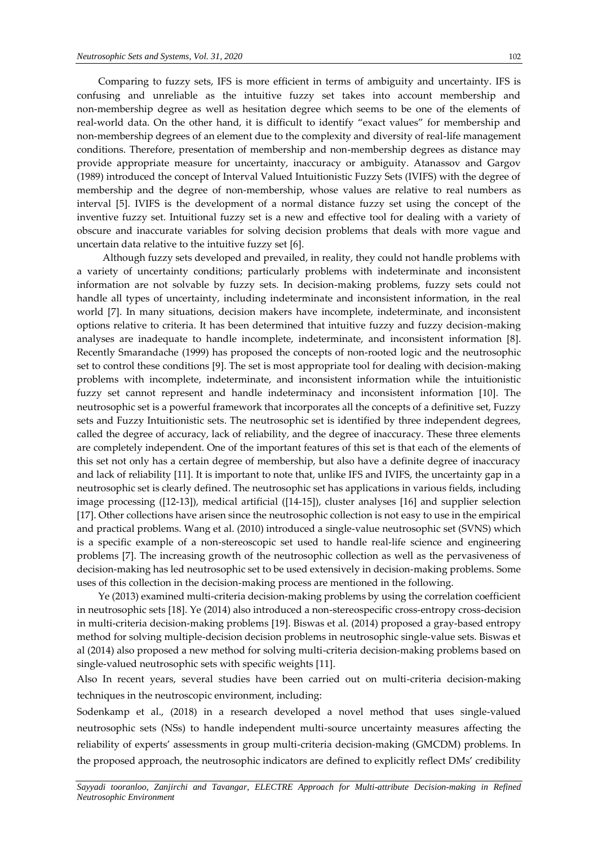Comparing to fuzzy sets, IFS is more efficient in terms of ambiguity and uncertainty. IFS is confusing and unreliable as the intuitive fuzzy set takes into account membership and non-membership degree as well as hesitation degree which seems to be one of the elements of real-world data. On the other hand, it is difficult to identify "exact values" for membership and non-membership degrees of an element due to the complexity and diversity of real-life management conditions. Therefore, presentation of membership and non-membership degrees as distance may provide appropriate measure for uncertainty, inaccuracy or ambiguity. Atanassov and Gargov (1989) introduced the concept of Interval Valued Intuitionistic Fuzzy Sets (IVIFS) with the degree of membership and the degree of non-membership, whose values are relative to real numbers as interval [5]. IVIFS is the development of a normal distance fuzzy set using the concept of the inventive fuzzy set. Intuitional fuzzy set is a new and effective tool for dealing with a variety of obscure and inaccurate variables for solving decision problems that deals with more vague and uncertain data relative to the intuitive fuzzy set [6].

Although fuzzy sets developed and prevailed, in reality, they could not handle problems with a variety of uncertainty conditions; particularly problems with indeterminate and inconsistent information are not solvable by fuzzy sets. In decision-making problems, fuzzy sets could not handle all types of uncertainty, including indeterminate and inconsistent information, in the real world [7]. In many situations, decision makers have incomplete, indeterminate, and inconsistent options relative to criteria. It has been determined that intuitive fuzzy and fuzzy decision-making analyses are inadequate to handle incomplete, indeterminate, and inconsistent information [8]. Recently Smarandache (1999) has proposed the concepts of non-rooted logic and the neutrosophic set to control these conditions [9]. The set is most appropriate tool for dealing with decision-making problems with incomplete, indeterminate, and inconsistent information while the intuitionistic fuzzy set cannot represent and handle indeterminacy and inconsistent information [10]. The neutrosophic set is a powerful framework that incorporates all the concepts of a definitive set, Fuzzy sets and Fuzzy Intuitionistic sets. The neutrosophic set is identified by three independent degrees, called the degree of accuracy, lack of reliability, and the degree of inaccuracy. These three elements are completely independent. One of the important features of this set is that each of the elements of this set not only has a certain degree of membership, but also have a definite degree of inaccuracy and lack of reliability [11]. It is important to note that, unlike IFS and IVIFS, the uncertainty gap in a neutrosophic set is clearly defined. The neutrosophic set has applications in various fields, including image processing ([12-13]), medical artificial ([14-15]), cluster analyses [16] and supplier selection [17]. Other collections have arisen since the neutrosophic collection is not easy to use in the empirical and practical problems. Wang et al. (2010) introduced a single-value neutrosophic set (SVNS) which is a specific example of a non-stereoscopic set used to handle real-life science and engineering problems [7]. The increasing growth of the neutrosophic collection as well as the pervasiveness of decision-making has led neutrosophic set to be used extensively in decision-making problems. Some uses of this collection in the decision-making process are mentioned in the following.

Ye (2013) examined multi-criteria decision-making problems by using the correlation coefficient in neutrosophic sets [18]. Ye (2014) also introduced a non-stereospecific cross-entropy cross-decision in multi-criteria decision-making problems [19]. Biswas et al. (2014) proposed a gray-based entropy method for solving multiple-decision decision problems in neutrosophic single-value sets. Biswas et al (2014) also proposed a new method for solving multi-criteria decision-making problems based on single-valued neutrosophic sets with specific weights [11].

Also In recent years, several studies have been carried out on multi-criteria decision-making techniques in the neutroscopic environment, including:

Sodenkamp et al., (2018) in a research developed a novel method that uses single-valued neutrosophic sets (NSs) to handle independent multi-source uncertainty measures affecting the reliability of experts' assessments in group multi-criteria decision-making (GMCDM) problems. In the proposed approach, the neutrosophic indicators are defined to explicitly reflect DMs' credibility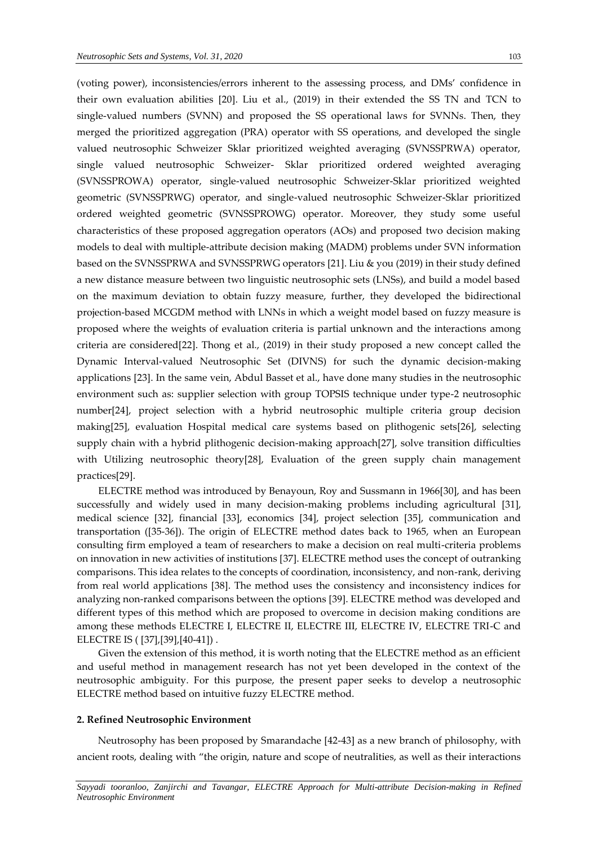(voting power), inconsistencies/errors inherent to the assessing process, and DMs' confidence in their own evaluation abilities [20]. Liu et al., (2019) in their extended the SS TN and TCN to single-valued numbers (SVNN) and proposed the SS operational laws for SVNNs. Then, they merged the prioritized aggregation (PRA) operator with SS operations, and developed the single valued neutrosophic Schweizer Sklar prioritized weighted averaging (SVNSSPRWA) operator, single valued neutrosophic Schweizer- Sklar prioritized ordered weighted averaging (SVNSSPROWA) operator, single-valued neutrosophic Schweizer-Sklar prioritized weighted geometric (SVNSSPRWG) operator, and single-valued neutrosophic Schweizer-Sklar prioritized ordered weighted geometric (SVNSSPROWG) operator. Moreover, they study some useful characteristics of these proposed aggregation operators (AOs) and proposed two decision making models to deal with multiple-attribute decision making (MADM) problems under SVN information based on the SVNSSPRWA and SVNSSPRWG operators [21]. Liu & you (2019) in their study defined a new distance measure between two linguistic neutrosophic sets (LNSs), and build a model based on the maximum deviation to obtain fuzzy measure, further, they developed the bidirectional projection-based MCGDM method with LNNs in which a weight model based on fuzzy measure is proposed where the weights of evaluation criteria is partial unknown and the interactions among criteria are considered[22]. Thong et al., (2019) in their study proposed a new concept called the Dynamic Interval-valued Neutrosophic Set (DIVNS) for such the dynamic decision-making applications [23]. In the same vein, Abdul Basset et al., have done many studies in the neutrosophic environment such as: supplier selection with group TOPSIS technique under type-2 neutrosophic number[24], project selection with a hybrid neutrosophic multiple criteria group decision making[25], evaluation Hospital medical care systems based on plithogenic sets[26], selecting supply chain with a hybrid plithogenic decision-making approach[27], solve transition difficulties with Utilizing neutrosophic theory[28], Evaluation of the green supply chain management practices[29].

ELECTRE method was introduced by Benayoun, Roy and Sussmann in 1966[30], and has been successfully and widely used in many decision-making problems including agricultural [31], medical science [32], financial [33], economics [34], project selection [35], communication and transportation ([35-36]). The origin of ELECTRE method dates back to 1965, when an European consulting firm employed a team of researchers to make a decision on real multi-criteria problems on innovation in new activities of institutions [37]. ELECTRE method uses the concept of outranking comparisons. This idea relates to the concepts of coordination, inconsistency, and non-rank, deriving from real world applications [38]. The method uses the consistency and inconsistency indices for analyzing non-ranked comparisons between the options [39]. ELECTRE method was developed and different types of this method which are proposed to overcome in decision making conditions are among these methods ELECTRE I, ELECTRE II, ELECTRE III, ELECTRE IV, ELECTRE TRI-C and ELECTRE IS ( [37],[39],[40-41]) .

Given the extension of this method, it is worth noting that the ELECTRE method as an efficient and useful method in management research has not yet been developed in the context of the neutrosophic ambiguity. For this purpose, the present paper seeks to develop a neutrosophic ELECTRE method based on intuitive fuzzy ELECTRE method.

#### **2. Refined Neutrosophic Environment**

Neutrosophy has been proposed by Smarandache [42-43] as a new branch of philosophy, with ancient roots, dealing with "the origin, nature and scope of neutralities, as well as their interactions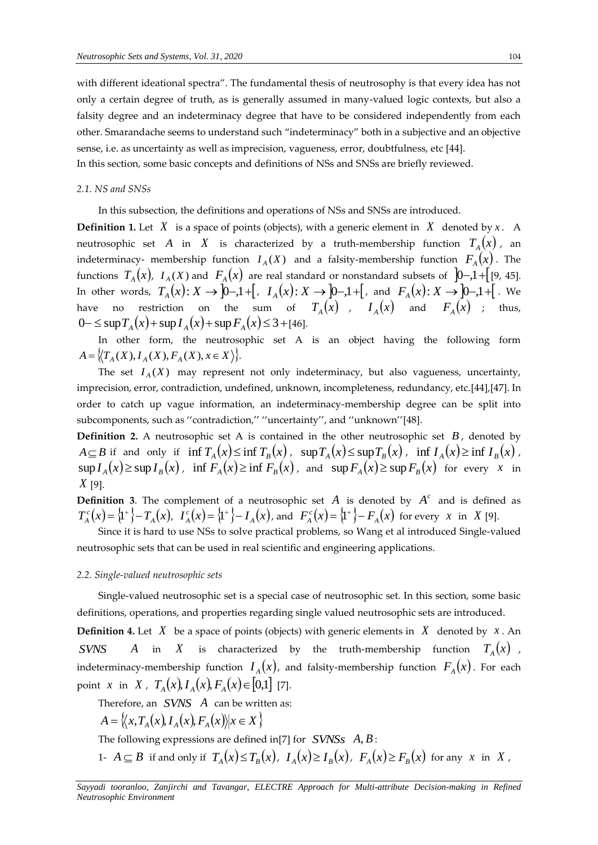with different ideational spectra". The fundamental thesis of neutrosophy is that every idea has not only a certain degree of truth, as is generally assumed in many-valued logic contexts, but also a falsity degree and an indeterminacy degree that have to be considered independently from each other. Smarandache seems to understand such "indeterminacy" both in a subjective and an objective sense, i.e. as uncertainty as well as imprecision, vagueness, error, doubtfulness, etc [44]. In this section, some basic concepts and definitions of NSs and SNSs are briefly reviewed.

#### *2.1. NS and SNSs*

In this subsection, the definitions and operations of NSs and SNSs are introduced.

**Definition 1.** Let  $X$  is a space of points (objects), with a generic element in  $X$  denoted by  $x$ . A neutrosophic set  $A$  in  $X$  is characterized by a truth-membership function  $T_{\scriptscriptstyle A}\big(x\big)$ , an indeterminacy- membership function  $I_{\scriptscriptstyle A}(X)$  and a falsity-membership function  $F_{\scriptscriptstyle A}\big(x\big)$  . The functions  $T_{\scriptscriptstyle A}(x)$ ,  $I_{\scriptscriptstyle A}(X)$  and  $\,F_{\scriptscriptstyle A}(x)\,$  are real standard or nonstandard subsets of  $\,$   $]$ 0−,1+[[9, 45]. In other words,  $T_A(x): X \to [0-,1+[, I_A(x): X \to [0-,1+[, \text{ and } F_A(x): X \to [0-,1+[, \text{ we}]$ have no restriction on the sum of  $T_A(x)$  ,  $I_A(x)$  and  $F_A(x)$  ; thus, 0 – ≤ sup  $T_A(x)$  + sup  $I_A(x)$  + sup  $F_A(x)$  ≤ 3 + [46].

In other form, the neutrosophic set A is an object having the following form  $A = \{ (T_A(X), I_A(X), F_A(X), x \in X) \}.$ 

The set  $I_A(X)$  may represent not only indeterminacy, but also vagueness, uncertainty, imprecision, error, contradiction, undefined, unknown, incompleteness, redundancy, etc.[44],[47]. In order to catch up vague information, an indeterminacy-membership degree can be split into subcomponents, such as ''contradiction,'' ''uncertainty'', and ''unknown''[48].

**Definition 2.** A neutrosophic set A is contained in the other neutrosophic set *B* , denoted by  $A \subseteq B$  if and only if  $\inf T_A(x) \le \inf T_B(x)$ ,  $\sup T_A(x) \le \sup T_B(x)$ ,  $\inf T_A(x) \ge \inf T_B(x)$ ,  $\sup I_A(x) \ge \sup I_B(x)$ ,  $\inf F_A(x) \ge \inf F_B(x)$ , and  $\sup F_A(x) \ge \sup F_B(x)$  for every x in *X* [9].

**Definition** 3. The complement of a neutrosophic set  $A$  is denoted by  $A<sup>c</sup>$  and is defined as  $T_A^c(x) = \{1^+\} - T_A(x)$ ,  $T_A^c(x) = \{1^+\} - T_A(x)$ , and  $F_A^c(x) = \{1^+\} - F_A(x)$  for every x in X [9].

Since it is hard to use NSs to solve practical problems, so Wang et al introduced Single-valued neutrosophic sets that can be used in real scientific and engineering applications.

## *2.2. Single-valued neutrosophic sets*

Single-valued neutrosophic set is a special case of neutrosophic set. In this section, some basic definitions, operations, and properties regarding single valued neutrosophic sets are introduced.

**Definition 4.** Let  $X$  be a space of points (objects) with generic elements in  $X$  denoted by  $x$ . An *SVNS <sup>A</sup>* in *X* is characterized by the truth-membership function  $T_{\scriptscriptstyle A}(x)$  , indeterminacy-membership function  $I_{\scriptscriptstyle A}(x)$ , and falsity-membership function  $F_{\scriptscriptstyle A}(x)$ . For each point *x* in *X*,  $T_A(x)$ ,  $I_A(x)$ ,  $F_A(x) \in [0,1]$  [7].

Therefore, an *SVNS A* can be written as:

$$
A = \left\{ \left\langle x, T_A(x), I_A(x), F_A(x) \right\rangle | x \in X \right\}
$$

The following expressions are defined in[7] for *SVNSs A*, *B* :

1-  $A \subseteq B$  if and only if  $T_A(x) \le T_B(x)$ ,  $I_A(x) \ge I_B(x)$ ,  $F_A(x) \ge F_B(x)$  for any x in X,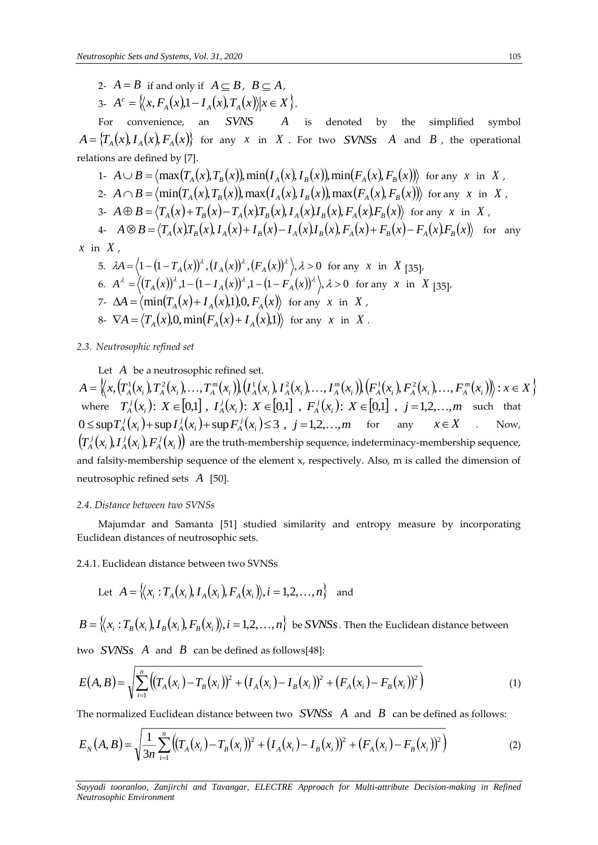2- 
$$
A = B
$$
 if and only if  $A \subseteq B$ ,  $B \subseteq A$ ,  
3-  $A^c = \{(x, F_A(x),1 - I_A(x), T_A(x)) | x \in X\}$ .

For convenience, an *SVNS A* is denoted by the simplified symbol  $A = \{T_A(x), I_A(x), F_A(x)\}\$  for any *x* in *X*. For two *SVNSs A* and *B*, the operational relations are defined by [7].

1- 
$$
A \cup B = \langle \max(T_A(x), T_B(x)), \min(T_A(x), T_B(x)), \min(F_A(x), F_B(x)) \rangle
$$
 for any x in X,  
\n2-  $A \cap B = \langle \min(T_A(x), T_B(x)), \max(T_A(x), T_B(x)), \max(F_A(x), F_B(x)) \rangle$  for any x in X,  
\n3-  $A \oplus B = \langle T_A(x) + T_B(x) - T_A(x)T_B(x), T_A(x)I_B(x), F_A(x)F_B(x) \rangle$  for any x in X,  
\n4-  $A \otimes B = \langle T_A(x)T_B(x), T_A(x) + T_B(x) - T_A(x)I_B(x), F_A(x) + F_B(x) - F_A(x)F_B(x) \rangle$  for any  
\n n X,

*x* in

5.  $\lambda A = \langle 1 - (1 - T_A(x))^{\lambda}, (I_A(x))^{\lambda}, (F_A(x))^{\lambda} \rangle, \lambda > 0$  for any x in X [35], 6.  $A^{\lambda} = \langle (T_A(x))^{\lambda}, 1 - (1 - I_A(x))^{\lambda}, 1 - (1 - F_A(x))^{\lambda} \rangle, \lambda > 0$  for any x in X [35]. 7-  $\Delta A = \langle \min(T_A(x) + I_A(x), 1), 0, F_A(x) \rangle$  for any x in X, 8-  $\nabla A = \langle T_A(x), 0, \min(F_A(x) + I_A(x), 1) \rangle$  for any *x* in *X*.

# *2.3* . *Neutrosophic refined set*

Let A be a neutrosophic refined set.

 $A = \Big\langle x, (T_A^1(x_i), T_A^2(x_i), \ldots, T_A^m(x_i)) (I_A^1(x_i), I_A^2(x_i), \ldots, I_A^m(x_i)) (F_A^1(x_i), F_A^2(x_i), \ldots, F_A^m(x_i)) \Big\rangle : x \in X \Big\}$ where  $T_A^j(x_i)$ :  $X \in [0,1]$ ,  $I_A^j(x_i)$ :  $X \in [0,1]$ ,  $F_A^j(x_i)$ :  $X \in [0,1]$ ,  $j = 1,2,...,m$  such that  $0 \leq \sup T_A^j(x_i) + \sup T_A^j(x_i) + \sup F_A^j(x_i) \leq 3$ ,  $j = 1, 2, ..., m$  for any  $x \in X$  . Now,  $(T_{A}^{j}(x_{i}), I_{A}^{j}(x_{i}), F_{A}^{j}(x_{i}))$ *i A j i A*  $T_A^j(x_i)$ ,  $I_A^j(x_i)$ ,  $F_A^j(x_i)$ ) are the truth-membership sequence, indeterminacy-membership sequence, and falsity-membership sequence of the element x, respectively. Also, m is called the dimension of neutrosophic refined sets *A* [50].

## *2.4. Distance between two SVNSs*

Majumdar and Samanta [51] studied similarity and entropy measure by incorporating Euclidean distances of neutrosophic sets.

2.4.1. Euclidean distance between two SVNSs

Let 
$$
A = \{(x_i : T_A(x_i), I_A(x_i), F_A(x_i)), i = 1, 2, ..., n\}
$$
 and

 $B=\{(x_i:T_B(x_i),I_B(x_i),F_B(x_i)\}, i=1,2,\ldots,n\}$  be  $SVNSs$ . Then the Euclidean distance between

two  $\emph{SVNSs}$   $\emph{A}$  and  $\emph{B}$  can be defined as follows[48]:

$$
E(A,B) = \sqrt{\sum_{i=1}^{n} ((T_A(x_i) - T_B(x_i))^2 + (I_A(x_i) - I_B(x_i))^2 + (F_A(x_i) - F_B(x_i))^2)}
$$
(1)

The normalized Euclidean distance between two  $\left| \textit{S V N S S \text{ } }A \text{ } \right.$  and  $\left| \textit{B} \right|$  can be defined as follows:

$$
E_N(A, B) = \sqrt{\frac{1}{3n} \sum_{i=1}^n \left( \left( T_A(x_i) - T_B(x_i) \right)^2 + \left( I_A(x_i) - I_B(x_i) \right)^2 + \left( F_A(x_i) - F_B(x_i) \right)^2 \right)}
$$
(2)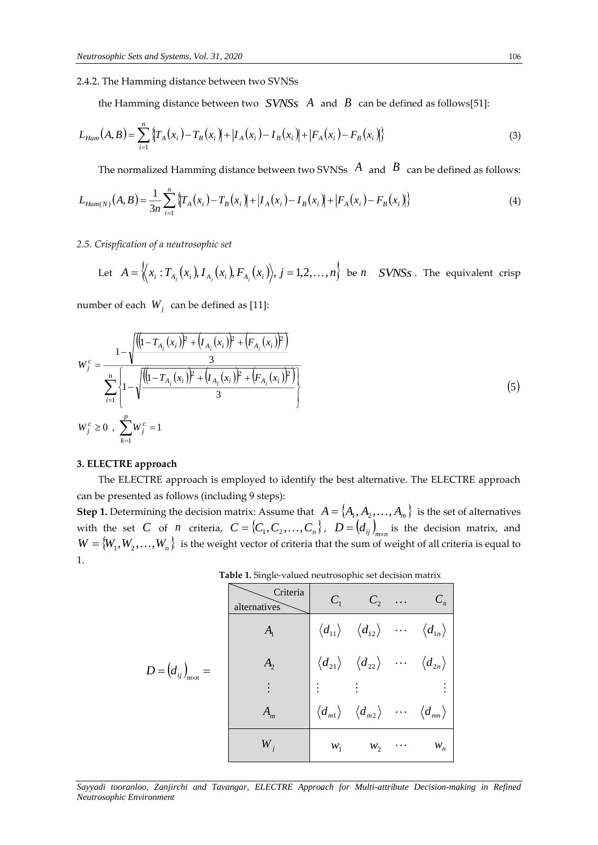## 2.4.2. The Hamming distance between two SVNSs

the Hamming distance between two  $\it SVNSs$   $\it A$  and  $\it B$  can be defined as follows[51]:

$$
L_{Ham}(A,B) = \sum_{i=1}^{n} \{T_A(x_i) - T_B(x_i)\} + |I_A(x_i) - I_B(x_i)| + |F_A(x_i) - F_B(x_i)|\}
$$
(3)

The normalized Hamming distance between two SVNSs  $\,A\,$  and  $\,B\,$  can be defined as follows:

$$
L_{Ham(N)}(A,B) = \frac{1}{3n} \sum_{i=1}^{n} \left\{ T_A(x_i) - T_B(x_i) \right\} + \left| I_A(x_i) - I_B(x_i) \right| + \left| F_A(x_i) - F_B(x_i) \right| \tag{4}
$$

### *2.5. Crispfication of a neutrosophic set*

Let 
$$
A = \langle (x_i : T_{A_j}(x_i), I_{A_j}(x_i), F_{A_j}(x_i)) \rangle
$$
,  $j = 1, 2, ..., n$  be *n SVNSs*. The equivalent crisp

number of each  $W_j$  can be defined as [11]:

$$
W_j^c = \frac{1 - \sqrt{\frac{((1 - T_{A_j}(x_i))^2 + (I_{A_j}(x_i))^2 + (F_{A_j}(x_i))^2)}{3}}}{\sum_{i=1}^n \left\{1 - \sqrt{\frac{((1 - T_{A_j}(x_i))^2 + (I_{A_j}(x_i))^2 + (F_{A_j}(x_i))^2}{3}}\right\}}
$$
\n
$$
W_j^c \ge 0, \sum_{k=1}^p W_j^c = 1
$$
\n(5)

## **3. ELECTRE approach**

The ELECTRE approach is employed to identify the best alternative. The ELECTRE approach can be presented as follows (including 9 steps):

**Step 1.** Determining the decision matrix: Assume that  $A = \{A_1, A_2, \ldots, A_m\}$  is the set of alternatives with the set C of *n* criteria,  $C = \{C_1, C_2, ..., C_n\}$ ,  $D = \left(d_{ij}\right)_{m \times n}$  is the decision matrix, and  $W = \{W_1, W_2, \ldots, W_n\}$  is the weight vector of criteria that the sum of weight of all criteria is equal to 1.

 **Table 1.** Single-valued neutrosophic set decision matrix

|                               | Criteria<br>alternatives | $C_1$ |                                                                                                                 |          | $C_n$                                          |
|-------------------------------|--------------------------|-------|-----------------------------------------------------------------------------------------------------------------|----------|------------------------------------------------|
|                               | $A_{1}$                  |       | $\left\langle d_{11}\right\rangle \quad \left\langle d_{12}\right\rangle$                                       | $\cdots$ | $\langle d_{1n} \rangle$                       |
| $D = (d_{ij})_{m \times n} =$ | A,                       |       | $\left\langle d_{\text{21}}\right\rangle \quad \left\langle d_{\text{22}}\right\rangle$                         | .        | $\langle d_{\scriptscriptstyle 2n}^{} \rangle$ |
|                               |                          |       |                                                                                                                 |          |                                                |
|                               | $A_{m}$                  |       | $\left\langle d_{\scriptscriptstyle{m1}}\right\rangle\quad\left\langle d_{\scriptscriptstyle{m2}}\right\rangle$ |          | $\cdots \langle d_{mn} \rangle$                |
|                               | $W_{i}$                  | $W_1$ | $W_2$                                                                                                           |          | $W_n$                                          |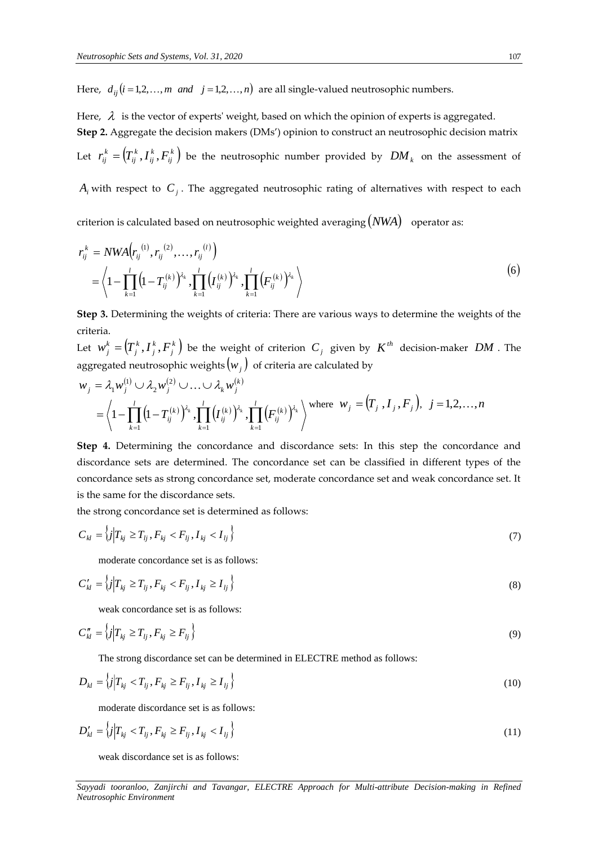Here,  $d_{ij}$   $(i = 1, 2, ..., m$  *and*  $j = 1, 2, ..., n)$  are all single-valued neutrosophic numbers.

Here,  $\,\lambda\,\,$  is the vector of experts' weight, based on which the opinion of experts is aggregated. **Step 2.** Aggregate the decision makers (DMs') opinion to construct an neutrosophic decision matrix Let  $r_{ij}^k = (T_{ij}^k, I_{ij}^k, F_{ij}^k)$ *ij k ij k ij*  $r_{ij}^k =$   $\left(T_{ij}^k$  ,  $I_{ij}^k$  ,  $F_{ij}^k$   $\right)$  be the neutrosophic number provided by  $\left| DM \right|_k$  on the assessment of

 $A_i$  with respect to  $\,C_j^{}\,$  . The aggregated neutrosophic rating of alternatives with respect to each

criterion is calculated based on neutrosophic weighted averaging (*NWA*) operator as:

$$
r_{ij}^{k} = NWA(r_{ij}^{(1)}, r_{ij}^{(2)}, \dots, r_{ij}^{(l)})
$$
  
=  $\left\langle 1 - \prod_{k=1}^{l} (1 - T_{ij}^{(k)})^{\lambda_k}, \prod_{k=1}^{l} (T_{ij}^{(k)})^{\lambda_k}, \prod_{k=1}^{l} (F_{ij}^{(k)})^{\lambda_k} \right\rangle$  (6)

**Step 3.** Determining the weights of criteria: There are various ways to determine the weights of the criteria.

Let  $w_j^k = (T_j^k, I_j^k, F_j^k)$ *j k j k j*  $w_j^k =$   $\left(T_j^k, I_j^k, F_j^k\right)$  be the weight of criterion  $C_j$  given by  $K^{th}$  decision-maker  $DM$  . The aggregated neutrosophic weights  $\left( w_{j}\right) \,$  of criteria are calculated by

$$
w_j = \lambda_1 w_j^{(1)} \cup \lambda_2 w_j^{(2)} \cup \ldots \cup \lambda_k w_j^{(k)}
$$
  
=  $\left\langle 1 - \prod_{k=1}^l (1 - T_{ij}^{(k)})^{\lambda_k}, \prod_{k=1}^l (I_{ij}^{(k)})^{\lambda_k}, \prod_{k=1}^l (F_{ij}^{(k)})^{\lambda_k} \right\rangle$  where  $w_j = (T_j, I_j, F_j)$ ,  $j = 1, 2, ..., n$ 

**Step 4.** Determining the concordance and discordance sets: In this step the concordance and discordance sets are determined. The concordance set can be classified in different types of the concordance sets as strong concordance set, moderate concordance set and weak concordance set. It is the same for the discordance sets.

the strong concordance set is determined as follows:

$$
C_{kl} = \left\{ j \middle| T_{kj} \ge T_{lj}, F_{kj} < F_{lj}, I_{kj} < I_{lj} \right\} \tag{7}
$$

moderate concordance set is as follows:

$$
C'_{kl} = \left\{ j \middle| T_{kj} \ge T_{lj}, F_{kj} < F_{lj}, I_{kj} \ge I_{lj} \right\} \tag{8}
$$

weak concordance set is as follows:

$$
C''_{kl} = \left\{ j \middle| T_{kj} \ge T_{lj}, F_{kj} \ge F_{lj} \right\} \tag{9}
$$

The strong discordance set can be determined in ELECTRE method as follows:

$$
D_{kl} = \left\{ j \Big| T_{kj} < T_{lj}, F_{kj} \ge F_{lj}, I_{kj} \ge I_{lj} \right\} \tag{10}
$$

moderate discordance set is as follows:

$$
D'_{kl} = \left\{ j \Big| T_{kj} < T_{lj}, F_{kj} \ge F_{lj}, I_{kj} < I_{lj} \right\} \tag{11}
$$

weak discordance set is as follows: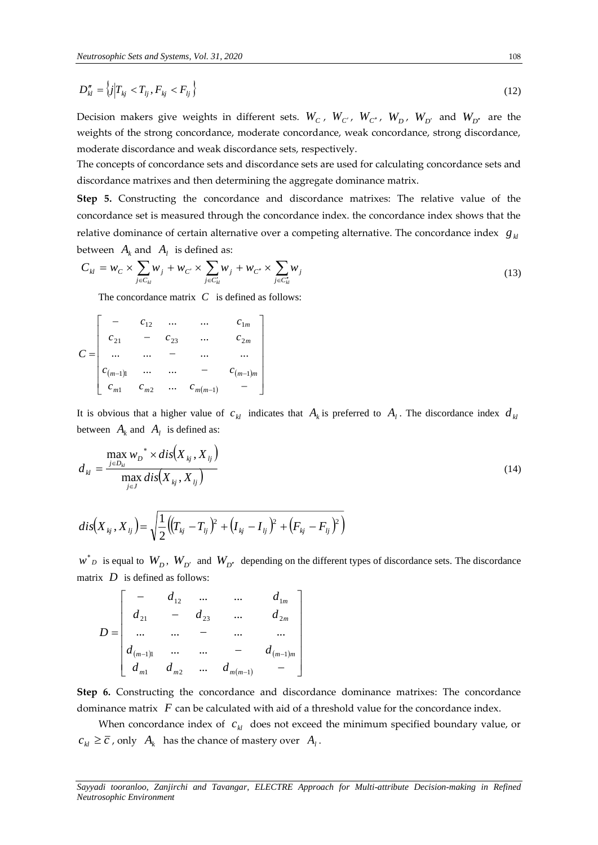$$
D''_{kl} = \left\{ j \middle| T_{kj} < T_{lj}, F_{kj} < F_{lj} \right\} \tag{12}
$$

Decision makers give weights in different sets.  $W_c$  ,  $W_{c'}$  ,  $W_{c''}$  ,  $W_{D}$  ,  $W_{D'}$  and  $W_{D''}$  are the weights of the strong concordance, moderate concordance, weak concordance, strong discordance, moderate discordance and weak discordance sets, respectively.

The concepts of concordance sets and discordance sets are used for calculating concordance sets and discordance matrixes and then determining the aggregate dominance matrix.

**Step 5.** Constructing the concordance and discordance matrixes: The relative value of the concordance set is measured through the concordance index. the concordance index shows that the relative dominance of certain alternative over a competing alternative. The concordance index  $\,$   $\,g_{\,\,k}$ between  $A_k$  and  $A_l$  is defined as:

$$
C_{kl} = w_C \times \sum_{j \in C_{kl}} w_j + w_{C'} \times \sum_{j \in C_{kl}'} w_j + w_{C''} \times \sum_{j \in C_{kl}'} w_j
$$
\n(13)

The concordance matrix  $C$  is defined as follows:

$$
D_M'' = \{j | T_{kj} < T_{ij}, F_{kj} < F_{ij}\}
$$
\nDecision makers give weights in differ  
\nweights of the strong concordance, model  
\nmoderate discordance and weak discordance  
\ndiscordance matrixes and then determin  
\nStep 5. Constructing the concordance  
\nconcordance set is measured through the  
\nrelative dominance of certain alternative c  
\nbetween  $A_k$  and  $A_l$  is defined as:  
\n
$$
C_M = w_C \times \sum_{j \in C_M} w_j + w_{C'} \times \sum_{j \in C_M'} w_j + w_{C'}
$$
\nThe concordance matrix  $C$  is defined as:  
\n
$$
C_M = w_C \times \sum_{j \in C_M} w_j + w_{C'} \times \sum_{j \in C_M'} w_j + w_{C'}
$$
\nThe concordance matrix  $C$  is defined as:  
\n
$$
C = \begin{bmatrix} - & c_{12} & \dots & c_{1m} \\ c_{21} & - & c_{23} & \dots & c_{2m} \\ \dots & \dots & & \dots & & \dots \\ c_{m-1}) & \dots & \dots & & \dots \\ c_{m-1}) & \dots & \dots & & \dots \\ c_{m-1}) & \dots & \dots & c_{m(m-1)} \end{bmatrix}
$$
\nIt is obvious that a higher value of  $c_M$  indi  
\nbetween  $A_k$  and  $A_l$  is defined as:  
\n
$$
d_M = \frac{\sum_{j \in D_M} w_j \times dis(X_{kj}, X_{ij})}{\max dis(X_{kj}, X_{ij})}
$$
\n
$$
d_{iS}(X_{kj}, X_{ij}) = \sqrt{\frac{1}{2} ((T_{kj} - T_{ij})^2 + (I_{kj} - I_{ij})^2 + (I_{kj} - I_{ij})^2} = \sqrt{\frac{1}{2} ((T_{kj} - T_{ij})^2 + (I_{kj} - I_{ij})^2 + (I_{kj} - I_{ij})^2} = \sqrt{\frac{1}{2} ((T_{kj} - T_{ij})^2 + (I_{kj} - I_{ij})^2} = \sqrt{\frac{1}{2} ((T_{kj} - T_{ij})^2 + (I_{kj} - I_{ij})^2} = \sqrt{\frac{1}{2} ((T_{kj} - T_{ij})^2 + (I_{kj} - I_{ij
$$

It is obvious that a higher value of  $c_{kl}$  indicates that  $A_k$  is preferred to  $A_l$ . The discordance index  $d_{kl}$ between  $A_k$  and  $A_l$  is defined as:

$$
d_{kl} = \frac{\max_{j \in D_{kl}} w_D^* \times dis(X_{kj}, X_{lj})}{\max_{j \in J} dis(X_{kj}, X_{lj})}
$$
(14)

$$
dis(X_{kj}, X_{ij}) = \sqrt{\frac{1}{2} ((T_{kj} - T_{ij})^2 + (I_{kj} - I_{ij})^2 + (F_{kj} - F_{ij})^2)}
$$

 $w^*$  *D* is equal to  $W_D$ ,  $W_{D'}$  and  $W_{D''}$  depending on the different types of discordance sets. The discordance matrix *D* is defined as follows:

$$
D = \begin{bmatrix} - & d_{12} & \dots & \dots & d_{1m} \\ d_{21} & - & d_{23} & \dots & d_{2m} \\ \dots & \dots & - & \dots & \dots \\ d_{(m-1)1} & \dots & \dots & - & d_{(m-1)m} \\ d_{m1} & d_{m2} & \dots & d_{m(m-1)} & - \end{bmatrix}
$$

**Step 6.** Constructing the concordance and discordance dominance matrixes: The concordance dominance matrix F can be calculated with aid of a threshold value for the concordance index.

When concordance index of  $c_{kl}$  does not exceed the minimum specified boundary value, or  $c_{kl} \geq \overline{c}$  , only  $A_k$  has the chance of mastery over  $A_l$ .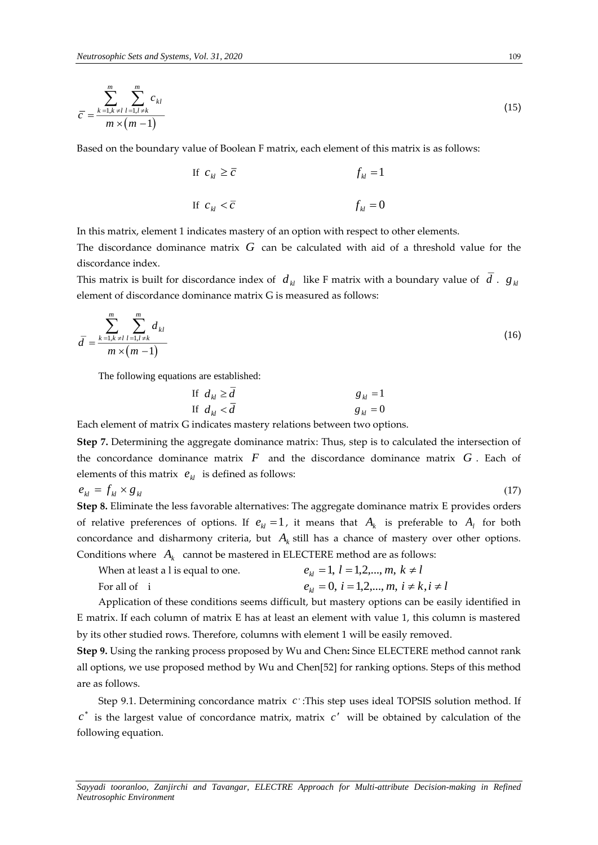$$
\overline{c} = \frac{\sum_{k=1, k \neq l}^{m} \sum_{l=1, l \neq k}^{m} c_{kl}}{m \times (m-1)}
$$
(15)

Based on the boundary value of Boolean F matrix, each element of this matrix is as follows:

If 
$$
c_M \ge \overline{c}
$$
  
\nIf  $c_M < \overline{c}$   
\nIf  $c_M < \overline{c}$   
\nIf  $f_M = 0$ 

In this matrix, element 1 indicates mastery of an option with respect to other elements.

The discordance dominance matrix  $\,G\,$  can be calculated with aid of a threshold value for the discordance index.

This matrix is built for discordance index of  $d_{kl}$  like F matrix with a boundary value of  $d$  .  $g_{kl}$ element of discordance dominance matrix G is measured as follows:

$$
\bar{d} = \frac{\sum_{k=1, k \neq l}^{m} \sum_{l=1, l \neq k}^{m} d_{kl}}{m \times (m-1)}
$$
(16)

The following equations are established:

If 
$$
d_{kl} \ge \overline{d}
$$
  
\nIf  $d_{kl} < \overline{d}$   
\nIf  $d_{kl} < \overline{d}$   
\nIf  $\overline{d}_{kl} = 0$ 

Each element of matrix G indicates mastery relations between two options.

**Step 7.** Determining the aggregate dominance matrix: Thus, step is to calculated the intersection of the concordance dominance matrix  $F$  and the discordance dominance matrix  $G$ . Each of elements of this matrix  $\,\pmb e_{kl}\,$  is defined as follows:

 $e_{kl} = f_{kl} \times g_{kl}$ 

**Step 8.** Eliminate the less favorable alternatives: The aggregate dominance matrix E provides orders of relative preferences of options. If  $e_{kl} = 1$ , it means that  $A_k$  is preferable to  $A_l$  for both concordance and disharmony criteria, but  $A_k$  still has a chance of mastery over other options. Conditions where  $A_k$  cannot be mastered in ELECTERE method are as follows:

| When at least a l is equal to one. | $e_{ij} = 1, l = 1, 2, , m, k \neq l$           |
|------------------------------------|-------------------------------------------------|
| For all of i                       | $e_{ij} = 0, i = 1, 2, , m, i \neq k, i \neq l$ |

Application of these conditions seems difficult, but mastery options can be easily identified in E matrix. If each column of matrix E has at least an element with value 1, this column is mastered by its other studied rows. Therefore, columns with element 1 will be easily removed.

**Step 9.** Using the ranking process proposed by Wu and Chen**:** Since ELECTERE method cannot rank all options, we use proposed method by Wu and Chen[52] for ranking options. Steps of this method are as follows.

Step 9.1. Determining concordance matrix c : This step uses ideal TOPSIS solution method. If  $c^*$  is the largest value of concordance matrix, matrix  $c'$  will be obtained by calculation of the following equation.

*Sayyadi tooranloo, Zanjirchi and Tavangar, ELECTRE Approach for Multi-attribute Decision-making in Refined Neutrosophic Environment* 

 $(17)$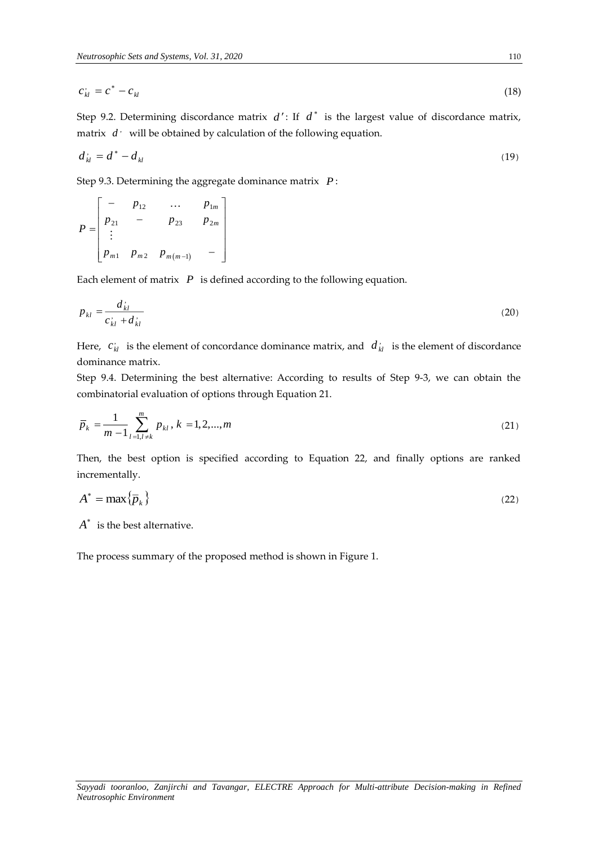$$
c_{kl}^{\prime} = c^* - c_{kl} \tag{18}
$$

Step 9.2. Determining discordance matrix  $d'$ : If  $d^*$  is the largest value of discordance matrix, matrix  $\,d^{\,\cdot}\,$  will be obtained by calculation of the following equation.

$$
d_{kl}^{\prime} = d^* - d_{kl} \tag{19}
$$

Step 9.3. Determining the aggregate dominance matrix *P* :

$$
P = \begin{bmatrix} - & p_{12} & \dots & p_{1m} \\ p_{21} & - & p_{23} & p_{2m} \\ \vdots & & & \\ p_{m1} & p_{m2} & p_{m(m-1)} & - \end{bmatrix}
$$

Each element of matrix *P* is defined according to the following equation.

$$
p_{kl} = \frac{d_{kl}}{c_{kl} + d_{kl}}
$$
 (20)

Here,  $c_{kl}$  is the element of concordance dominance matrix, and  $d_{kl}$  is the element of discordance dominance matrix.

Step 9.4. Determining the best alternative: According to results of Step 9-3, we can obtain the combinatorial evaluation of options through Equation 21.

$$
\overline{p}_k = \frac{1}{m-1} \sum_{l=1, l \neq k}^{m} p_{kl}, k = 1, 2, ..., m
$$
\n(21)

Then, the best option is specified according to Equation 22, and finally options are ranked incrementally.

$$
A^* = \max\{\overline{p}_k\} \tag{22}
$$

 $A^*$  is the best alternative.

The process summary of the proposed method is shown in Figure 1.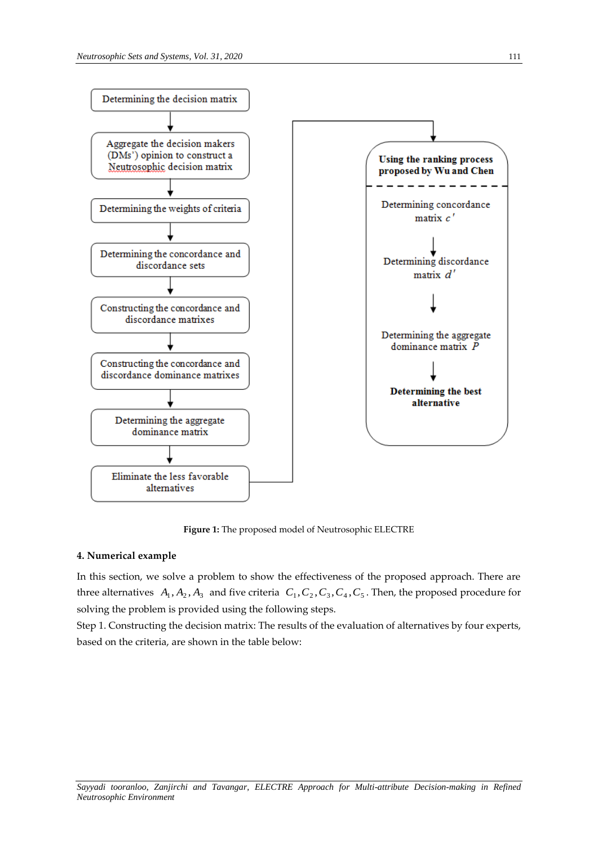

**Figure 1:** The proposed model of Neutrosophic ELECTRE

## **4. Numerical example**

In this section, we solve a problem to show the effectiveness of the proposed approach. There are three alternatives  $A_1, A_2, A_3$  and five criteria  $C_1, C_2, C_3, C_4, C_5$ . Then, the proposed procedure for solving the problem is provided using the following steps.

Step 1. Constructing the decision matrix: The results of the evaluation of alternatives by four experts, based on the criteria, are shown in the table below: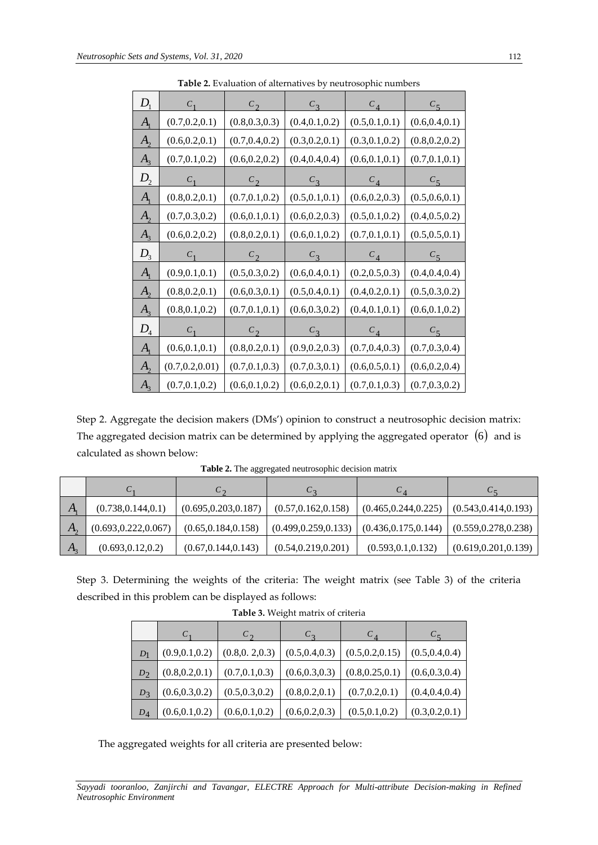| $D_{1}$                    | $C_{1}$          | $C_{2}$         | $C_3$           | $C_{4}$         | $C_5$           |
|----------------------------|------------------|-----------------|-----------------|-----------------|-----------------|
| A <sub>1</sub>             | (0.7, 0.2, 0.1)  | (0.8, 0.3, 0.3) | (0.4, 0.1, 0.2) | (0.5, 0.1, 0.1) | (0.6, 0.4, 0.1) |
| $A_{2}$                    | (0.6, 0.2, 0.1)  | (0.7, 0.4, 0.2) | (0.3, 0.2, 0.1) | (0.3, 0.1, 0.2) | (0.8, 0.2, 0.2) |
| A <sub>3</sub>             | (0.7, 0.1, 0.2)  | (0.6, 0.2, 0.2) | (0.4, 0.4, 0.4) | (0.6, 0.1, 0.1) | (0.7, 0.1, 0.1) |
| $D_{2}$                    | $C_1$            | c <sub>2</sub>  | $C_3$           | $C_{4}$         | $C_5$           |
| $A_{1}$                    | (0.8, 0.2, 0.1)  | (0.7, 0.1, 0.2) | (0.5, 0.1, 0.1) | (0.6, 0.2, 0.3) | (0.5, 0.6, 0.1) |
| $A_{2}$                    | (0.7, 0.3, 0.2)  | (0.6, 0.1, 0.1) | (0.6, 0.2, 0.3) | (0.5, 0.1, 0.2) | (0.4, 0.5, 0.2) |
| $A_3$                      | (0.6, 0.2, 0.2)  | (0.8, 0.2, 0.1) | (0.6, 0.1, 0.2) | (0.7, 0.1, 0.1) | (0.5, 0.5, 0.1) |
| $D_3$                      | C <sub>1</sub>   | $c_{2}$         | $C_3$           | $c_4$           | $C_5$           |
| $A_{1}$                    | (0.9, 0.1, 0.1)  | (0.5, 0.3, 0.2) | (0.6, 0.4, 0.1) | (0.2, 0.5, 0.3) | (0.4, 0.4, 0.4) |
| $A_{2}$                    | (0.8, 0.2, 0.1)  | (0.6, 0.3, 0.1) | (0.5, 0.4, 0.1) | (0.4, 0.2, 0.1) | (0.5, 0.3, 0.2) |
| A <sub>3</sub>             | (0.8, 0.1, 0.2)  | (0.7, 0.1, 0.1) | (0.6, 0.3, 0.2) | (0.4, 0.1, 0.1) | (0.6, 0.1, 0.2) |
| $D_{\scriptscriptstyle 4}$ | $C_1$            | $c_{2}$         | $C_3$           | $C_{4}$         | $C_5$           |
| $A_{1}$                    | (0.6, 0.1, 0.1)  | (0.8, 0.2, 0.1) | (0.9, 0.2, 0.3) | (0.7, 0.4, 0.3) | (0.7, 0.3, 0.4) |
| $A_{2}$                    | (0.7, 0.2, 0.01) | (0.7, 0.1, 0.3) | (0.7, 0.3, 0.1) | (0.6, 0.5, 0.1) | (0.6, 0.2, 0.4) |
| $A_{3}$                    | (0.7, 0.1, 0.2)  | (0.6, 0.1, 0.2) | (0.6, 0.2, 0.1) | (0.7, 0.1, 0.3) | (0.7, 0.3, 0.2) |

**Table 2.** Evaluation of alternatives by neutrosophic numbers

Step 2. Aggregate the decision makers (DMs') opinion to construct a neutrosophic decision matrix: The aggregated decision matrix can be determined by applying the aggregated operator  $\, (6)\,$  and is calculated as shown below:

|              | U                     | $\mathfrak{c}$        | $\mathsf{C}$          |                       |                       |
|--------------|-----------------------|-----------------------|-----------------------|-----------------------|-----------------------|
| А,           | (0.738, 0.144, 0.1)   | (0.695, 0.203, 0.187) | (0.57, 0.162, 0.158)  | (0.465, 0.244, 0.225) | (0.543, 0.414, 0.193) |
| $A_{\alpha}$ | (0.693, 0.222, 0.067) | (0.65, 0.184, 0.158)  | (0.499, 0.259, 0.133) | (0.436, 0.175, 0.144) | (0.559, 0.278, 0.238) |
| $A_{2}$      | (0.693, 0.12, 0.2)    | (0.67, 0.144, 0.143)  | (0.54, 0.219, 0.201)  | (0.593, 0.1, 0.132)   | (0.619, 0.201, 0.139) |

**Table 2.** The aggregated neutrosophic decision matrix

Step 3. Determining the weights of the criteria: The weight matrix (see Table 3) of the criteria described in this problem can be displayed as follows:

|       | $C_{\mathcal{D}}$<br>$C_{1}$ |                 | $C_{\mathcal{D}}$ |                  |                 |  |
|-------|------------------------------|-----------------|-------------------|------------------|-----------------|--|
| $D_1$ | (0.9, 0.1, 0.2)              | (0.8, 0.2, 0.3) | (0.5, 0.4, 0.3)   | (0.5, 0.2, 0.15) | (0.5, 0.4, 0.4) |  |
| $D_2$ | (0.8, 0.2, 0.1)              | (0.7, 0.1, 0.3) | (0.6, 0.3, 0.3)   | (0.8, 0.25, 0.1) | (0.6, 0.3, 0.4) |  |
| $D_3$ | (0.6, 0.3, 0.2)              | (0.5, 0.3, 0.2) | (0.8, 0.2, 0.1)   | (0.7, 0.2, 0.1)  | (0.4, 0.4, 0.4) |  |
| $D_4$ | (0.6, 0.1, 0.2)              | (0.6, 0.1, 0.2) | (0.6, 0.2, 0.3)   | (0.5, 0.1, 0.2)  | (0.3, 0.2, 0.1) |  |

**Table 3.** Weight matrix of criteria

The aggregated weights for all criteria are presented below: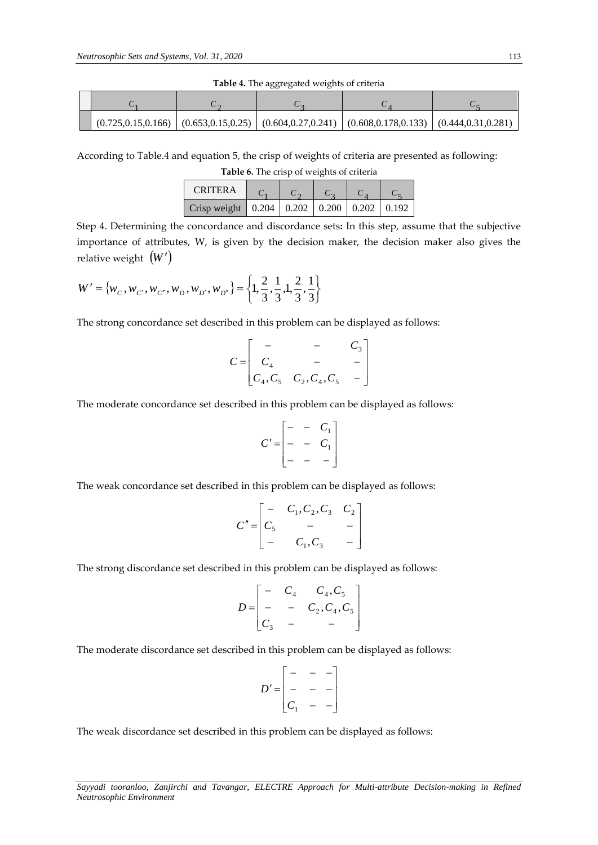|  |  | $(0.725, 0.15, 0.166)$ $(0.653, 0.15, 0.25)$ $(0.604, 0.27, 0.241)$ $(0.608, 0.178, 0.133)$ $(0.444, 0.31, 0.281)$ |  |
|--|--|--------------------------------------------------------------------------------------------------------------------|--|

**Table 4.** The aggregated weights of criteria

According to Table.4 and equation 5, the crisp of weights of criteria are presented as following:

**Table 6.** The crisp of weights of criteria

| CRITER A                                                                         |  |  |  |
|----------------------------------------------------------------------------------|--|--|--|
| Crisp weight $\vert 0.204 \vert 0.202 \vert 0.200 \vert 0.202 \vert 0.192 \vert$ |  |  |  |

Step 4. Determining the concordance and discordance sets**:** In this step, assume that the subjective importance of attributes, W, is given by the decision maker, the decision maker also gives the relative weight (*<sup>W</sup>* )

$$
W' = \{w_C, w_{C'}, w_{C'}, w_D, w_{D'}, w_{D'}\} = \left\{1, \frac{2}{3}, \frac{1}{3}, 1, \frac{2}{3}, \frac{1}{3}\right\}
$$

The strong concordance set described in this problem can be displayed as follows:

$$
C = \begin{bmatrix} - & - & C_3 \\ C_4 & - & - \\ C_4, C_5 & C_2, C_4, C_5 & - \end{bmatrix}
$$

The moderate concordance set described in this problem can be displayed as follows:

$$
C' = \begin{bmatrix} - & - & C_1 \\ - & - & C_1 \\ - & - & - \end{bmatrix}
$$

The weak concordance set described in this problem can be displayed as follows:

$$
C'' = \begin{bmatrix} - & C_1, C_2, C_3 & C_2 \\ C_5 & - & - \\ - & C_1, C_3 & - \end{bmatrix}
$$

The strong discordance set described in this problem can be displayed as follows:

$$
D = \begin{bmatrix} - & C_4 & C_4, C_5 \\ - & - & C_2, C_4, C_5 \\ C_3 & - & - \end{bmatrix}
$$

The moderate discordance set described in this problem can be displayed as follows:

$$
D' = \begin{bmatrix} - & - & - \\ - & - & - \\ C_1 & - & - \end{bmatrix}
$$

The weak discordance set described in this problem can be displayed as follows: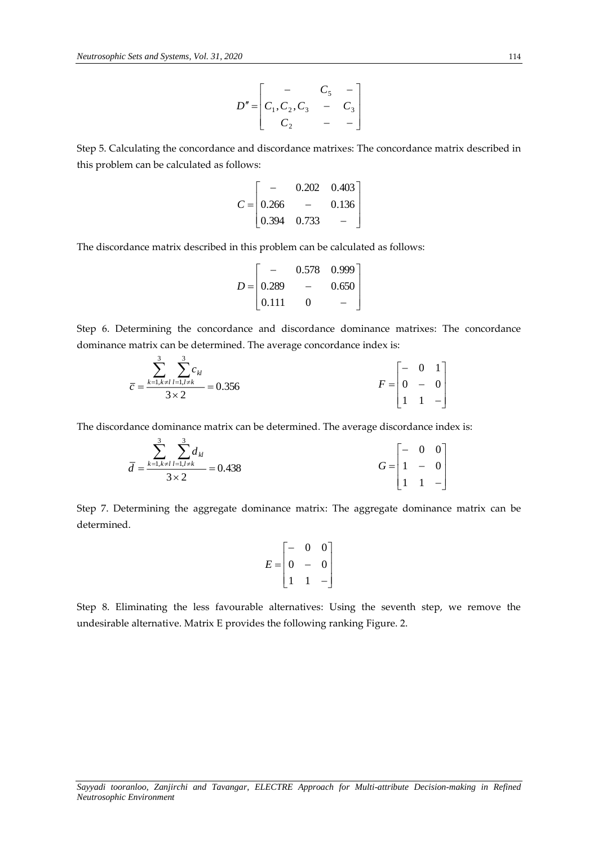$$
D'' = \begin{bmatrix} - & C_5 & - \\ C_1, C_2, C_3 & - & C_3 \\ C_2 & - & - \end{bmatrix}
$$

Step 5. Calculating the concordance and discordance matrixes: The concordance matrix described in this problem can be calculated as follows:

$$
C = \begin{bmatrix} - & 0.202 & 0.403 \\ 0.266 & - & 0.136 \\ 0.394 & 0.733 & - \end{bmatrix}
$$

The discordance matrix described in this problem can be calculated as follows:

$$
D = \begin{bmatrix} - & 0.578 & 0.999 \\ 0.289 & - & 0.650 \\ 0.111 & 0 & - \end{bmatrix}
$$

Step 6. Determining the concordance and discordance dominance matrixes: The concordance dominance matrix can be determined. The average concordance index is:

$$
\overline{c} = \frac{\sum_{k=1, k \neq l}^{3} \sum_{l=1, l \neq k}^{3} c_{kl}}{3 \times 2} = 0.356
$$
\n
$$
F = \begin{bmatrix} - & 0 & 1 \\ 0 & - & 0 \\ 1 & 1 & - \end{bmatrix}
$$

The discordance dominance matrix can be determined. The average discordance index is:

$$
\bar{d} = \frac{\sum_{k=1, k \neq l}^{3} \sum_{l=1, l \neq k}^{3} d_{kl}}{3 \times 2} = 0.438
$$
\n
$$
G = \begin{bmatrix} - & 0 & 0 \\ 1 & - & 0 \\ 1 & 1 & - \end{bmatrix}
$$

Step 7. Determining the aggregate dominance matrix: The aggregate dominance matrix can be determined.

$$
E = \begin{bmatrix} - & 0 & 0 \\ 0 & - & 0 \\ 1 & 1 & - \end{bmatrix}
$$

Step 8. Eliminating the less favourable alternatives: Using the seventh step, we remove the undesirable alternative. Matrix E provides the following ranking Figure. 2.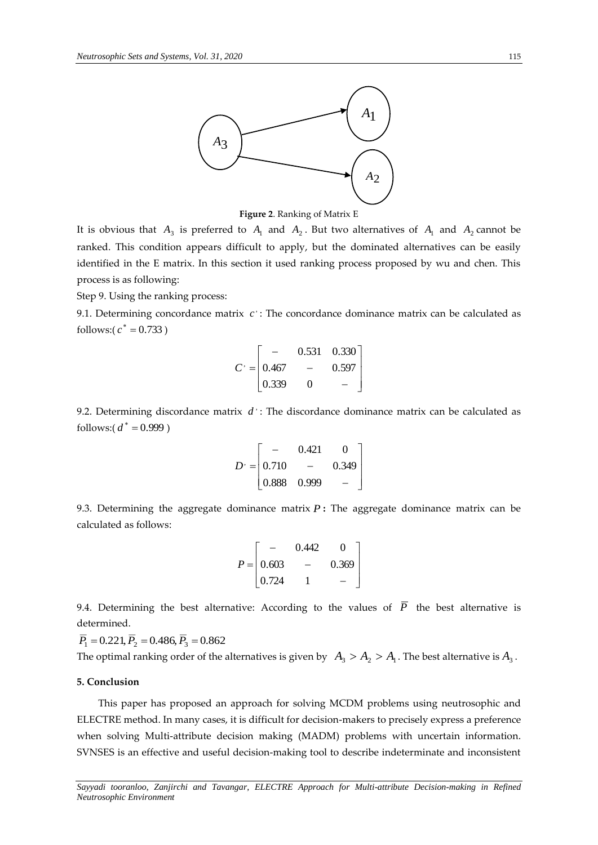

**Figure 2**. Ranking of Matrix E

It is obvious that  $A_3$  is preferred to  $A_1$  and  $A_2$ . But two alternatives of  $A_1$  and  $A_2$  cannot be ranked. This condition appears difficult to apply, but the dominated alternatives can be easily identified in the E matrix. In this section it used ranking process proposed by wu and chen. This process is as following:

Step 9. Using the ranking process:

9.1. Determining concordance matrix  $|c\rangle$ : The concordance dominance matrix can be calculated as follows:( $c^* = 0.733$ )

$$
C = \begin{bmatrix} - & 0.531 & 0.330 \\ 0.467 & - & 0.597 \\ 0.339 & 0 & - \end{bmatrix}
$$

9.2. Determining discordance matrix  $d$  : The discordance dominance matrix can be calculated as follows:(  $d^* = 0.999$  )

$$
D' = \begin{bmatrix} - & 0.421 & 0 \\ 0.710 & - & 0.349 \\ 0.888 & 0.999 & - \end{bmatrix}
$$

9.3. Determining the aggregate dominance matrix *P* **:** The aggregate dominance matrix can be calculated as follows:

$$
P = \begin{bmatrix} - & 0.442 & 0 \\ 0.603 & - & 0.369 \\ 0.724 & 1 & - \end{bmatrix}
$$

9.4. Determining the best alternative: According to the values of  $\overline{P}$  the best alternative is determined.

 $\overline{P}_1 = 0.221, \overline{P}_2 = 0.486, \overline{P}_3 = 0.862$ 

The optimal ranking order of the alternatives is given by  $|A_3>A_2>A_1|$ . The best alternative is  $A_3$ .

# **5. Conclusion**

This paper has proposed an approach for solving MCDM problems using neutrosophic and ELECTRE method. In many cases, it is difficult for decision-makers to precisely express a preference when solving Multi-attribute decision making (MADM) problems with uncertain information. SVNSES is an effective and useful decision-making tool to describe indeterminate and inconsistent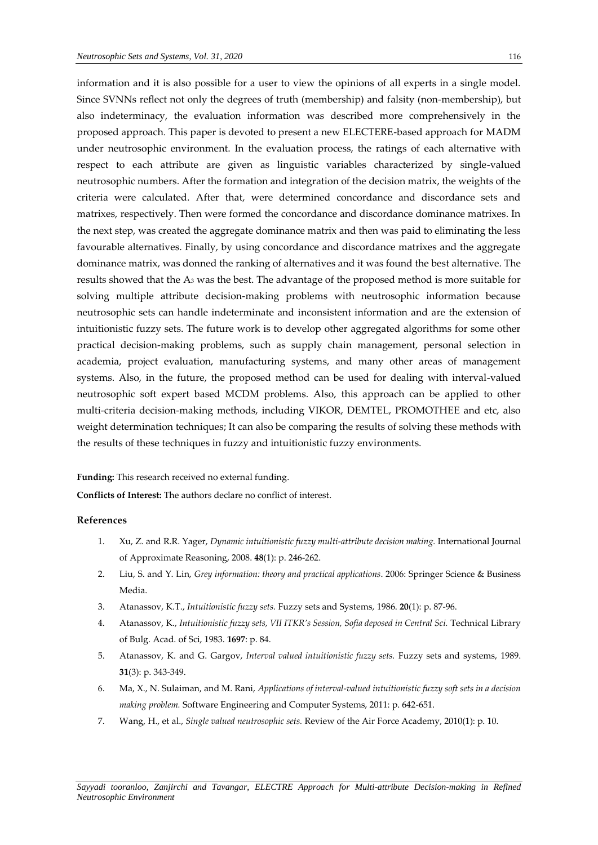information and it is also possible for a user to view the opinions of all experts in a single model. Since SVNNs reflect not only the degrees of truth (membership) and falsity (non-membership), but also indeterminacy, the evaluation information was described more comprehensively in the proposed approach. This paper is devoted to present a new ELECTERE-based approach for MADM under neutrosophic environment. In the evaluation process, the ratings of each alternative with respect to each attribute are given as linguistic variables characterized by single-valued neutrosophic numbers. After the formation and integration of the decision matrix, the weights of the criteria were calculated. After that, were determined concordance and discordance sets and matrixes, respectively. Then were formed the concordance and discordance dominance matrixes. In the next step, was created the aggregate dominance matrix and then was paid to eliminating the less favourable alternatives. Finally, by using concordance and discordance matrixes and the aggregate dominance matrix, was donned the ranking of alternatives and it was found the best alternative. The results showed that the A<sup>3</sup> was the best. The advantage of the proposed method is more suitable for solving multiple attribute decision-making problems with neutrosophic information because neutrosophic sets can handle indeterminate and inconsistent information and are the extension of intuitionistic fuzzy sets. The future work is to develop other aggregated algorithms for some other practical decision-making problems, such as supply chain management, personal selection in academia, project evaluation, manufacturing systems, and many other areas of management systems. Also, in the future, the proposed method can be used for dealing with interval-valued neutrosophic soft expert based MCDM problems. Also, this approach can be applied to other multi-criteria decision-making methods, including VIKOR, DEMTEL, PROMOTHEE and etc, also weight determination techniques; It can also be comparing the results of solving these methods with the results of these techniques in fuzzy and intuitionistic fuzzy environments.

#### **Funding:** This research received no external funding.

**Conflicts of Interest:** The authors declare no conflict of interest.

# **References**

- 1. Xu, Z. and R.R. Yager, *Dynamic intuitionistic fuzzy multi-attribute decision making.* International Journal of Approximate Reasoning, 2008. **48**(1): p. 246-262.
- 2. Liu, S. and Y. Lin, *Grey information: theory and practical applications*. 2006: Springer Science & Business Media.
- 3. Atanassov, K.T., *Intuitionistic fuzzy sets.* Fuzzy sets and Systems, 1986. **20**(1): p. 87-96.
- 4. Atanassov, K., *Intuitionistic fuzzy sets, VII ITKR's Session, Sofia deposed in Central Sci.* Technical Library of Bulg. Acad. of Sci, 1983. **1697**: p. 84.
- 5. Atanassov, K. and G. Gargov, *Interval valued intuitionistic fuzzy sets.* Fuzzy sets and systems, 1989. **31**(3): p. 343-349.
- 6. Ma, X., N. Sulaiman, and M. Rani, *Applications of interval-valued intuitionistic fuzzy soft sets in a decision making problem.* Software Engineering and Computer Systems, 2011: p. 642-651.
- 7. Wang, H., et al., *Single valued neutrosophic sets.* Review of the Air Force Academy, 2010(1): p. 10.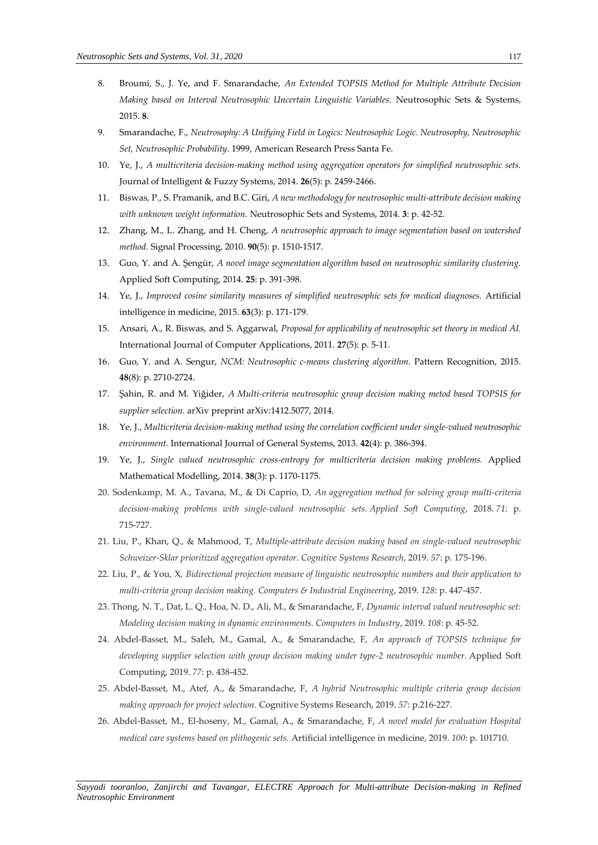- 8. Broumi, S., J. Ye, and F. Smarandache, *An Extended TOPSIS Method for Multiple Attribute Decision Making based on Interval Neutrosophic Uncertain Linguistic Variables.* Neutrosophic Sets & Systems, 2015. **8**.
- 9. Smarandache, F., *Neutrosophy: A Unifying Field in Logics: Neutrosophic Logic. Neutrosophy, Neutrosophic Set, Neutrosophic Probability*. 1999, American Research Press Santa Fe.
- 10. Ye, J., *A multicriteria decision-making method using aggregation operators for simplified neutrosophic sets.* Journal of Intelligent & Fuzzy Systems, 2014. **26**(5): p. 2459-2466.
- 11. Biswas, P., S. Pramanik, and B.C. Giri, *A new methodology for neutrosophic multi-attribute decision making with unknown weight information.* Neutrosophic Sets and Systems, 2014. **3**: p. 42-52.
- 12. Zhang, M., L. Zhang, and H. Cheng, *A neutrosophic approach to image segmentation based on watershed method.* Signal Processing, 2010. **90**(5): p. 1510-1517.
- 13. Guo, Y. and A. Şengür, *A novel image segmentation algorithm based on neutrosophic similarity clustering.* Applied Soft Computing, 2014. **25**: p. 391-398.
- 14. Ye, J., *Improved cosine similarity measures of simplified neutrosophic sets for medical diagnoses.* Artificial intelligence in medicine, 2015. **63**(3): p. 171-179.
- 15. Ansari, A., R. Biswas, and S. Aggarwal, *Proposal for applicability of neutrosophic set theory in medical AI.* International Journal of Computer Applications, 2011. **27**(5): p. 5-11.
- 16. Guo, Y. and A. Sengur, *NCM: Neutrosophic c-means clustering algorithm.* Pattern Recognition, 2015. **48**(8): p. 2710-2724.
- 17. Şahin, R. and M. Yiğider, *A Multi-criteria neutrosophic group decision making metod based TOPSIS for supplier selection.* arXiv preprint arXiv:1412.5077, 2014.
- 18. Ye, J., *Multicriteria decision-making method using the correlation coefficient under single-valued neutrosophic environment.* International Journal of General Systems, 2013. **42**(4): p. 386-394.
- 19. Ye, J., *Single valued neutrosophic cross-entropy for multicriteria decision making problems.* Applied Mathematical Modelling, 2014. **38**(3): p. 1170-1175.
- 20. Sodenkamp, M. A., Tavana, M., & Di Caprio, D, *An aggregation method for solving group multi-criteria decision-making problems with single-valued neutrosophic sets*. *Applied Soft Computing*, 2018. *71*: p. 715-727.
- 21. Liu, P., Khan, Q., & Mahmood, T, *Multiple-attribute decision making based on single-valued neutrosophic Schweizer-Sklar prioritized aggregation operator*. *Cognitive Systems Research*, 2019. *57*: p. 175-196.
- 22. Liu, P., & You, X, *Bidirectional projection measure of linguistic neutrosophic numbers and their application to multi-criteria group decision making. Computers & Industrial Engineering*, 2019. *128*: p. 447-457.
- 23. Thong, N. T., Dat, L. Q., Hoa, N. D., Ali, M., & Smarandache, F, *Dynamic interval valued neutrosophic set: Modeling decision making in dynamic environments. Computers in Industry*, 2019. *108*: p. 45-52.
- 24. Abdel-Basset, M., Saleh, M., Gamal, A., & Smarandache, F, *An approach of TOPSIS technique for developing supplier selection with group decision making under type-2 neutrosophic number.* Applied Soft Computing, 2019. *77*: p. 438-452.
- 25. Abdel-Basset, M., Atef, A., & Smarandache, F, *A hybrid Neutrosophic multiple criteria group decision making approach for project selection.* Cognitive Systems Research, 2019. *57*: p.216-227.
- 26. Abdel-Basset, M., El-hoseny, M., Gamal, A., & Smarandache, F, *A novel model for evaluation Hospital medical care systems based on plithogenic sets.* Artificial intelligence in medicine, 2019. *100*: p. 101710.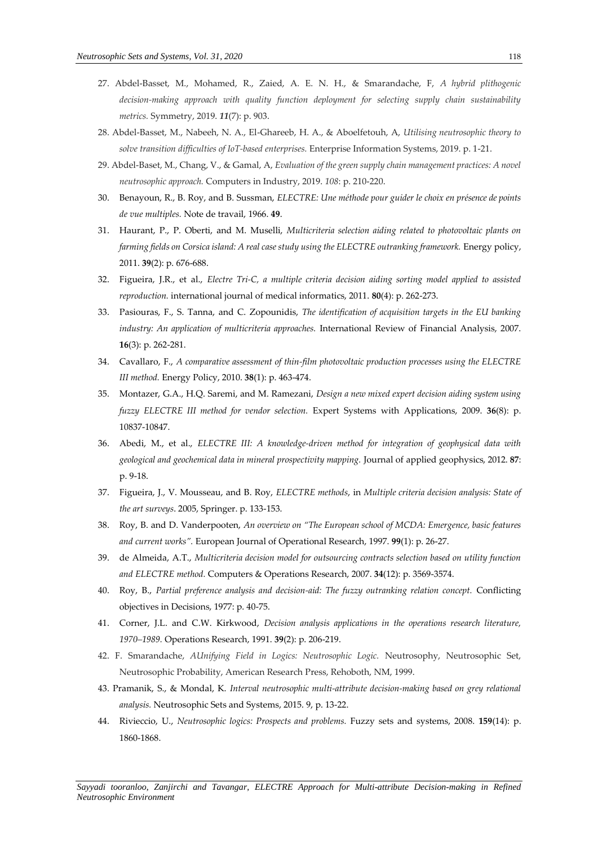- 27. Abdel-Basset, M., Mohamed, R., Zaied, A. E. N. H., & Smarandache, F, *A hybrid plithogenic decision-making approach with quality function deployment for selecting supply chain sustainability metrics.* Symmetry, 2019. *11*(7): p. 903.
- 28. Abdel-Basset, M., Nabeeh, N. A., El-Ghareeb, H. A., & Aboelfetouh, A, *Utilising neutrosophic theory to solve transition difficulties of IoT-based enterprises.* Enterprise Information Systems, 2019. p. 1-21.
- 29. Abdel-Baset, M., Chang, V., & Gamal, A, *Evaluation of the green supply chain management practices: A novel neutrosophic approach.* Computers in Industry, 2019. *108*: p. 210-220.
- 30. Benayoun, R., B. Roy, and B. Sussman, *ELECTRE: Une méthode pour guider le choix en présence de points de vue multiples.* Note de travail, 1966. **49**.
- 31. Haurant, P., P. Oberti, and M. Muselli, *Multicriteria selection aiding related to photovoltaic plants on farming fields on Corsica island: A real case study using the ELECTRE outranking framework.* Energy policy, 2011. **39**(2): p. 676-688.
- 32. Figueira, J.R., et al., *Electre Tri-C, a multiple criteria decision aiding sorting model applied to assisted reproduction.* international journal of medical informatics, 2011. **80**(4): p. 262-273.
- 33. Pasiouras, F., S. Tanna, and C. Zopounidis, *The identification of acquisition targets in the EU banking industry: An application of multicriteria approaches.* International Review of Financial Analysis, 2007. **16**(3): p. 262-281.
- 34. Cavallaro, F., *A comparative assessment of thin-film photovoltaic production processes using the ELECTRE III method.* Energy Policy, 2010. **38**(1): p. 463-474.
- 35. Montazer, G.A., H.Q. Saremi, and M. Ramezani, *Design a new mixed expert decision aiding system using fuzzy ELECTRE III method for vendor selection.* Expert Systems with Applications, 2009. **36**(8): p. 10837-10847.
- 36. Abedi, M., et al., *ELECTRE III: A knowledge-driven method for integration of geophysical data with geological and geochemical data in mineral prospectivity mapping.* Journal of applied geophysics, 2012. **87**: p. 9-18.
- 37. Figueira, J., V. Mousseau, and B. Roy, *ELECTRE methods*, in *Multiple criteria decision analysis: State of the art surveys*. 2005, Springer. p. 133-153.
- 38. Roy, B. and D. Vanderpooten, *An overview on "The European school of MCDA: Emergence, basic features and current works".* European Journal of Operational Research, 1997. **99**(1): p. 26-27.
- 39. de Almeida, A.T., *Multicriteria decision model for outsourcing contracts selection based on utility function and ELECTRE method.* Computers & Operations Research, 2007. **34**(12): p. 3569-3574.
- 40. Roy, B., *Partial preference analysis and decision-aid: The fuzzy outranking relation concept.* Conflicting objectives in Decisions, 1977: p. 40-75.
- 41. Corner, J.L. and C.W. Kirkwood, *Decision analysis applications in the operations research literature, 1970–1989.* Operations Research, 1991. **39**(2): p. 206-219.
- 42. F. Smarandache, *AUnifying Field in Logics: Neutrosophic Logic.* Neutrosophy, Neutrosophic Set, Neutrosophic Probability, American Research Press, Rehoboth, NM, 1999.
- 43. Pramanik, S., & Mondal, K. *Interval neutrosophic multi-attribute decision-making based on grey relational analysis.* Neutrosophic Sets and Systems, 2015. 9, p. 13-22.
- 44. Rivieccio, U., *Neutrosophic logics: Prospects and problems.* Fuzzy sets and systems, 2008. **159**(14): p. 1860-1868.